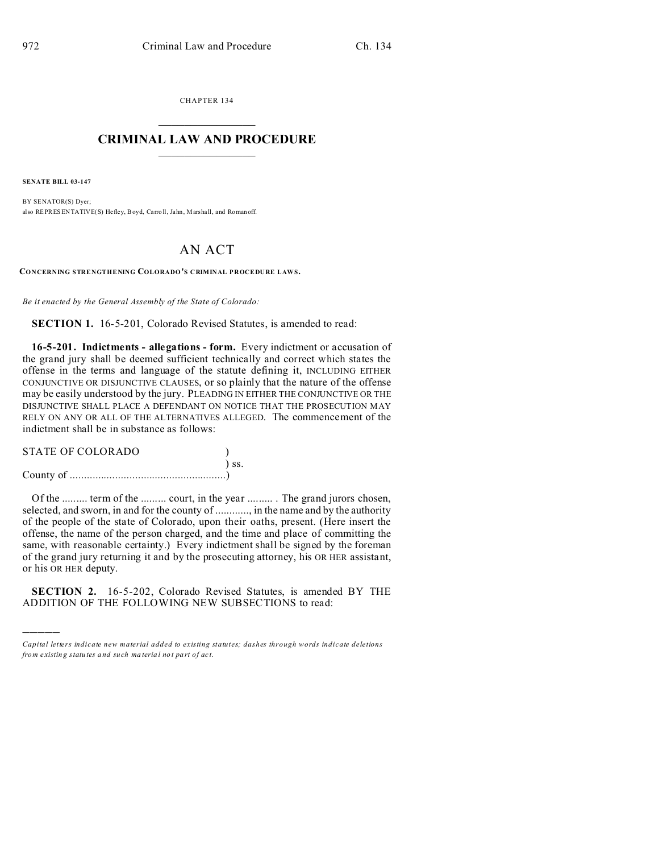CHAPTER 134  $\overline{\phantom{a}}$  , where  $\overline{\phantom{a}}$ 

## **CRIMINAL LAW AND PROCEDURE**  $\_$   $\_$   $\_$   $\_$   $\_$   $\_$   $\_$   $\_$   $\_$

**SENATE BILL 03-147**

)))))

BY SENATOR(S) Dyer; also REPRESENTATIVE(S) Hefley, Boyd, Carro ll, Jahn , Marshall, and Roman off.

## AN ACT

**CONCERNING STRENGTHENING COLORADO'S CRIMINAL PROCEDURE LAWS.**

*Be it enacted by the General Assembly of the State of Colorado:*

**SECTION 1.** 16-5-201, Colorado Revised Statutes, is amended to read:

**16-5-201. Indictments - allegations - form.** Every indictment or accusation of the grand jury shall be deemed sufficient technically and correct which states the offense in the terms and language of the statute defining it, INCLUDING EITHER CONJUNCTIVE OR DISJUNCTIVE CLAUSES, or so plainly that the nature of the offense may be easily understood by the jury. PLEADING IN EITHER THE CONJUNCTIVE OR THE DISJUNCTIVE SHALL PLACE A DEFENDANT ON NOTICE THAT THE PROSECUTION MAY RELY ON ANY OR ALL OF THE ALTERNATIVES ALLEGED. The commencement of the indictment shall be in substance as follows:

| <b>STATE OF COLORADO</b> |            |  |
|--------------------------|------------|--|
|                          | $\sum$ SS. |  |
|                          |            |  |

Of the ......... term of the ......... court, in the year ......... . The grand jurors chosen, selected, and sworn, in and for the county of ............, in the name and by the authority of the people of the state of Colorado, upon their oaths, present. (Here insert the offense, the name of the person charged, and the time and place of committing the same, with reasonable certainty.) Every indictment shall be signed by the foreman of the grand jury returning it and by the prosecuting attorney, his OR HER assistant, or his OR HER deputy.

**SECTION 2.** 16-5-202, Colorado Revised Statutes, is amended BY THE ADDITION OF THE FOLLOWING NEW SUBSECTIONS to read:

*Capital letters indicate new material added to existing statutes; dashes through words indicate deletions from e xistin g statu tes a nd such ma teria l no t pa rt of ac t.*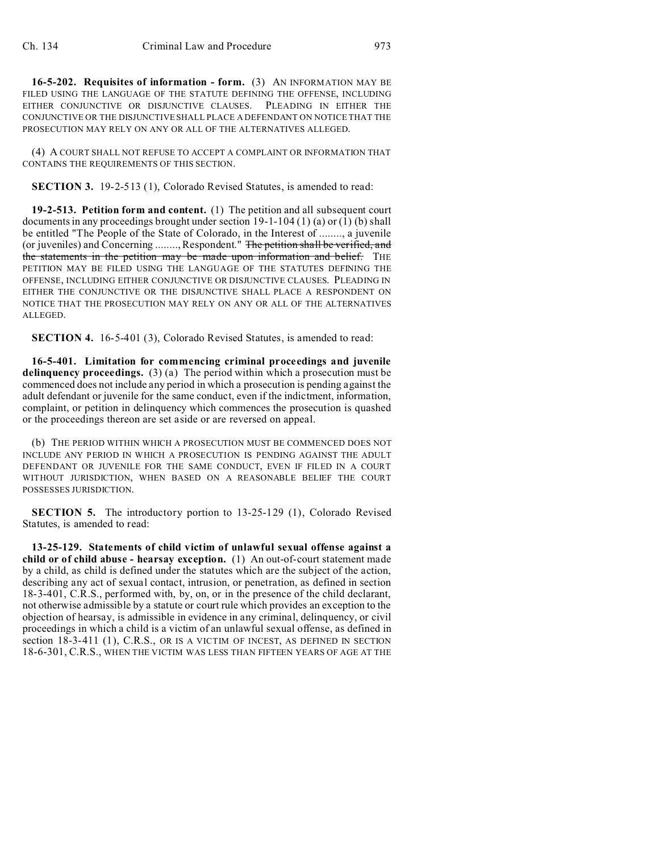**16-5-202. Requisites of information - form.** (3) AN INFORMATION MAY BE FILED USING THE LANGUAGE OF THE STATUTE DEFINING THE OFFENSE, INCLUDING EITHER CONJUNCTIVE OR DISJUNCTIVE CLAUSES. PLEADING IN EITHER THE CONJUNCTIVE OR THE DISJUNCTIVE SHALL PLACE A DEFENDANT ON NOTICE THAT THE PROSECUTION MAY RELY ON ANY OR ALL OF THE ALTERNATIVES ALLEGED.

(4) A COURT SHALL NOT REFUSE TO ACCEPT A COMPLAINT OR INFORMATION THAT CONTAINS THE REQUIREMENTS OF THIS SECTION.

**SECTION 3.** 19-2-513 (1), Colorado Revised Statutes, is amended to read:

**19-2-513. Petition form and content.** (1) The petition and all subsequent court documents in any proceedings brought under section  $19-1-104(1)$  (a) or (1) (b) shall be entitled "The People of the State of Colorado, in the Interest of ........, a juvenile (or juveniles) and Concerning ........, Respondent." The petition shall be verified, and the statements in the petition may be made upon information and belief. THE PETITION MAY BE FILED USING THE LANGUAGE OF THE STATUTES DEFINING THE OFFENSE, INCLUDING EITHER CONJUNCTIVE OR DISJUNCTIVE CLAUSES. PLEADING IN EITHER THE CONJUNCTIVE OR THE DISJUNCTIVE SHALL PLACE A RESPONDENT ON NOTICE THAT THE PROSECUTION MAY RELY ON ANY OR ALL OF THE ALTERNATIVES ALLEGED.

**SECTION 4.** 16-5-401 (3), Colorado Revised Statutes, is amended to read:

**16-5-401. Limitation for commencing criminal proceedings and juvenile delinquency proceedings.** (3) (a) The period within which a prosecution must be commenced does not include any period in which a prosecution is pending against the adult defendant or juvenile for the same conduct, even if the indictment, information, complaint, or petition in delinquency which commences the prosecution is quashed or the proceedings thereon are set aside or are reversed on appeal.

(b) THE PERIOD WITHIN WHICH A PROSECUTION MUST BE COMMENCED DOES NOT INCLUDE ANY PERIOD IN WHICH A PROSECUTION IS PENDING AGAINST THE ADULT DEFENDANT OR JUVENILE FOR THE SAME CONDUCT, EVEN IF FILED IN A COURT WITHOUT JURISDICTION, WHEN BASED ON A REASONABLE BELIEF THE COURT POSSESSES JURISDICTION.

**SECTION 5.** The introductory portion to 13-25-129 (1), Colorado Revised Statutes, is amended to read:

**13-25-129. Statements of child victim of unlawful sexual offense against a child or of child abuse - hearsay exception.** (1) An out-of-court statement made by a child, as child is defined under the statutes which are the subject of the action, describing any act of sexual contact, intrusion, or penetration, as defined in section 18-3-401, C.R.S., performed with, by, on, or in the presence of the child declarant, not otherwise admissible by a statute or court rule which provides an exception to the objection of hearsay, is admissible in evidence in any criminal, delinquency, or civil proceedings in which a child is a victim of an unlawful sexual offense, as defined in section 18-3-411 (1), C.R.S., OR IS A VICTIM OF INCEST, AS DEFINED IN SECTION 18-6-301, C.R.S., WHEN THE VICTIM WAS LESS THAN FIFTEEN YEARS OF AGE AT THE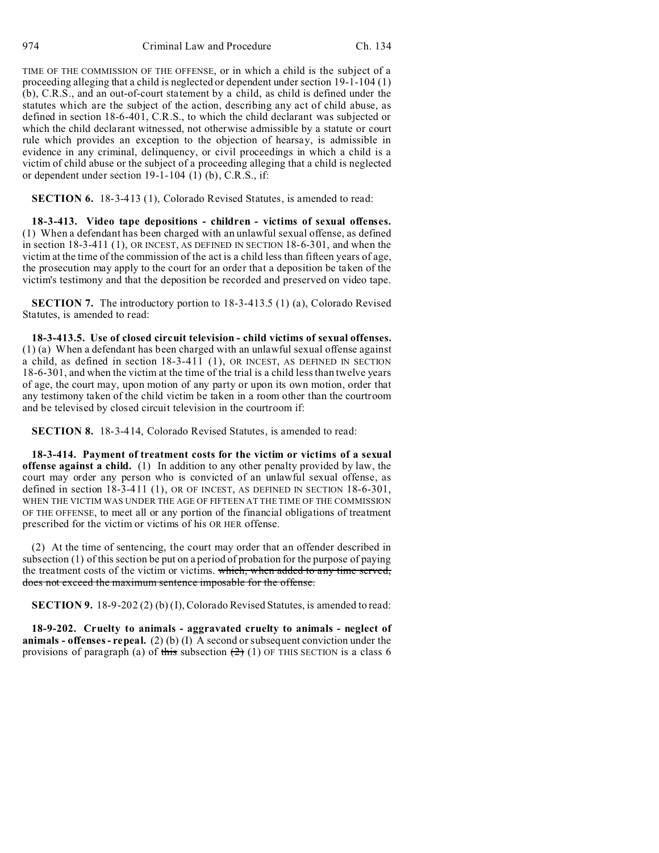TIME OF THE COMMISSION OF THE OFFENSE, or in which a child is the subject of a proceeding alleging that a child is neglected or dependent under section 19-1-104 (1) (b), C.R.S., and an out-of-court statement by a child, as child is defined under the statutes which are the subject of the action, describing any act of child abuse, as defined in section 18-6-401, C.R.S., to which the child declarant was subjected or which the child declarant witnessed, not otherwise admissible by a statute or court rule which provides an exception to the objection of hearsay, is admissible in evidence in any criminal, delinquency, or civil proceedings in which a child is a victim of child abuse or the subject of a proceeding alleging that a child is neglected or dependent under section  $19-1-104$  (1) (b), C.R.S., if:

**SECTION 6.** 18-3-413 (1), Colorado Revised Statutes, is amended to read:

**18-3-413. Video tape depositions - children - victims of sexual offenses.** (1) When a defendant has been charged with an unlawful sexual offense, as defined in section 18-3-411 (1), OR INCEST, AS DEFINED IN SECTION 18-6-301, and when the victim at the time of the commission of the act is a child less than fifteen years of age, the prosecution may apply to the court for an order that a deposition be taken of the victim's testimony and that the deposition be recorded and preserved on video tape.

**SECTION 7.** The introductory portion to 18-3-413.5 (1) (a), Colorado Revised Statutes, is amended to read:

**18-3-413.5. Use of closed circuit television - child victims of sexual offenses.** (1) (a) When a defendant has been charged with an unlawful sexual offense against a child, as defined in section 18-3-411 (1), OR INCEST, AS DEFINED IN SECTION 18-6-301, and when the victim at the time of the trial is a child less than twelve years of age, the court may, upon motion of any party or upon its own motion, order that any testimony taken of the child victim be taken in a room other than the courtroom and be televised by closed circuit television in the courtroom if:

**SECTION 8.** 18-3-414, Colorado Revised Statutes, is amended to read:

**18-3-414. Payment of treatment costs for the victim or victims of a sexual offense against a child.** (1) In addition to any other penalty provided by law, the court may order any person who is convicted of an unlawful sexual offense, as defined in section 18-3-411 (1), OR OF INCEST, AS DEFINED IN SECTION 18-6-301, WHEN THE VICTIM WAS UNDER THE AGE OF FIFTEEN AT THE TIME OF THE COMMISSION OF THE OFFENSE, to meet all or any portion of the financial obligations of treatment prescribed for the victim or victims of his OR HER offense.

(2) At the time of sentencing, the court may order that an offender described in subsection (1) of this section be put on a period of probation for the purpose of paying the treatment costs of the victim or victims. which, when added to any time served, does not exceed the maximum sentence imposable for the offense.

**SECTION 9.** 18-9-202 (2) (b) (I), Colorado Revised Statutes, is amended to read:

**18-9-202. Cruelty to animals - aggravated cruelty to animals - neglect of animals - offenses - repeal.** (2) (b) (I) A second or subsequent conviction under the provisions of paragraph (a) of this subsection  $(2)$  (1) OF THIS SECTION is a class 6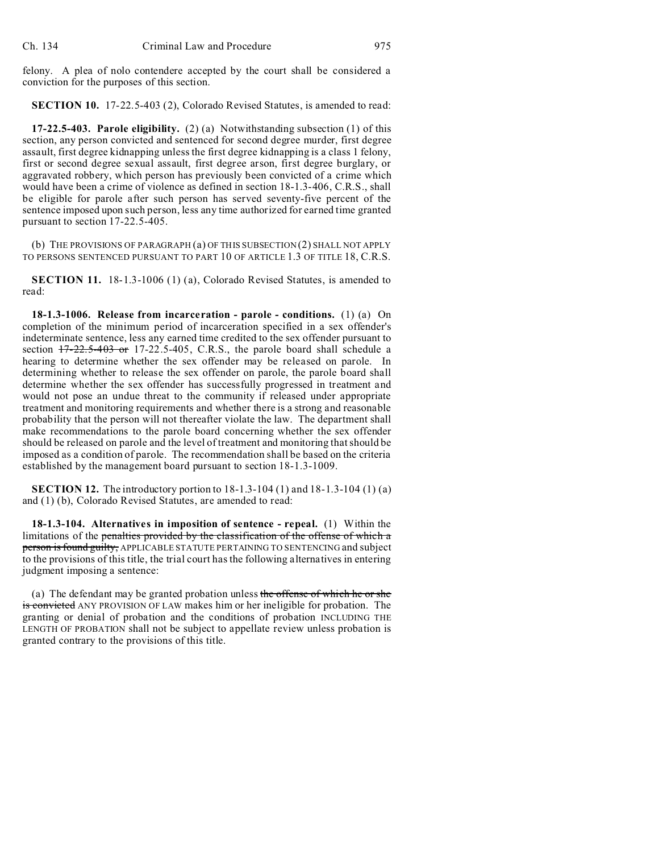felony. A plea of nolo contendere accepted by the court shall be considered a conviction for the purposes of this section.

**SECTION 10.** 17-22.5-403 (2), Colorado Revised Statutes, is amended to read:

**17-22.5-403. Parole eligibility.** (2) (a) Notwithstanding subsection (1) of this section, any person convicted and sentenced for second degree murder, first degree assault, first degree kidnapping unless the first degree kidnapping is a class 1 felony, first or second degree sexual assault, first degree arson, first degree burglary, or aggravated robbery, which person has previously been convicted of a crime which would have been a crime of violence as defined in section 18-1.3-406, C.R.S., shall be eligible for parole after such person has served seventy-five percent of the sentence imposed upon such person, less any time authorized for earned time granted pursuant to section 17-22.5-405.

(b) THE PROVISIONS OF PARAGRAPH (a) OF THIS SUBSECTION (2) SHALL NOT APPLY TO PERSONS SENTENCED PURSUANT TO PART 10 OF ARTICLE 1.3 OF TITLE 18, C.R.S.

**SECTION 11.** 18-1.3-1006 (1) (a), Colorado Revised Statutes, is amended to read:

**18-1.3-1006. Release from incarceration - parole - conditions.** (1) (a) On completion of the minimum period of incarceration specified in a sex offender's indeterminate sentence, less any earned time credited to the sex offender pursuant to section  $17-22.5-403$  or 17-22.5-405, C.R.S., the parole board shall schedule a hearing to determine whether the sex offender may be released on parole. In determining whether to release the sex offender on parole, the parole board shall determine whether the sex offender has successfully progressed in treatment and would not pose an undue threat to the community if released under appropriate treatment and monitoring requirements and whether there is a strong and reasonable probability that the person will not thereafter violate the law. The department shall make recommendations to the parole board concerning whether the sex offender should be released on parole and the level of treatment and monitoring that should be imposed as a condition of parole. The recommendation shall be based on the criteria established by the management board pursuant to section 18-1.3-1009.

**SECTION 12.** The introductory portion to 18-1.3-104 (1) and 18-1.3-104 (1) (a) and (1) (b), Colorado Revised Statutes, are amended to read:

**18-1.3-104. Alternatives in imposition of sentence - repeal.** (1) Within the limitations of the penalties provided by the classification of the offense of which a person is found guilty, APPLICABLE STATUTE PERTAINING TO SENTENCING and subject to the provisions of this title, the trial court has the following alternatives in entering judgment imposing a sentence:

(a) The defendant may be granted probation unless the offense of which he or she is convicted ANY PROVISION OF LAW makes him or her ineligible for probation. The granting or denial of probation and the conditions of probation INCLUDING THE LENGTH OF PROBATION shall not be subject to appellate review unless probation is granted contrary to the provisions of this title.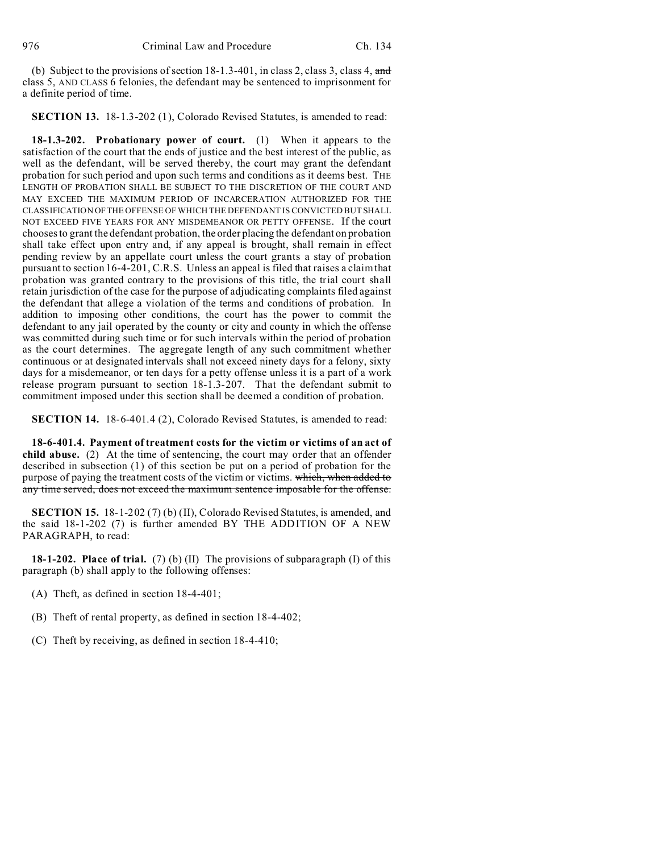(b) Subject to the provisions of section  $18-1.3-401$ , in class 2, class 3, class 4, and class 5, AND CLASS 6 felonies, the defendant may be sentenced to imprisonment for a definite period of time.

**SECTION 13.** 18-1.3-202 (1), Colorado Revised Statutes, is amended to read:

**18-1.3-202. Probationary power of court.** (1) When it appears to the satisfaction of the court that the ends of justice and the best interest of the public, as well as the defendant, will be served thereby, the court may grant the defendant probation for such period and upon such terms and conditions as it deems best. THE LENGTH OF PROBATION SHALL BE SUBJECT TO THE DISCRETION OF THE COURT AND MAY EXCEED THE MAXIMUM PERIOD OF INCARCERATION AUTHORIZED FOR THE CLASSIFICATION OFTHE OFFENSE OF WHICH THE DEFENDANT IS CONVICTED BUT SHALL NOT EXCEED FIVE YEARS FOR ANY MISDEMEANOR OR PETTY OFFENSE. If the court chooses to grant the defendant probation, the order placing the defendant on probation shall take effect upon entry and, if any appeal is brought, shall remain in effect pending review by an appellate court unless the court grants a stay of probation pursuant to section 16-4-201, C.R.S. Unless an appeal is filed that raises a claim that probation was granted contrary to the provisions of this title, the trial court shall retain jurisdiction of the case for the purpose of adjudicating complaints filed against the defendant that allege a violation of the terms and conditions of probation. In addition to imposing other conditions, the court has the power to commit the defendant to any jail operated by the county or city and county in which the offense was committed during such time or for such intervals within the period of probation as the court determines. The aggregate length of any such commitment whether continuous or at designated intervals shall not exceed ninety days for a felony, sixty days for a misdemeanor, or ten days for a petty offense unless it is a part of a work release program pursuant to section 18-1.3-207. That the defendant submit to commitment imposed under this section shall be deemed a condition of probation.

**SECTION 14.** 18-6-401.4 (2), Colorado Revised Statutes, is amended to read:

**18-6-401.4. Payment of treatment costs for the victim or victims of an act of child abuse.** (2) At the time of sentencing, the court may order that an offender described in subsection (1) of this section be put on a period of probation for the purpose of paying the treatment costs of the victim or victims. which, when added to any time served, does not exceed the maximum sentence imposable for the offense.

**SECTION 15.** 18-1-202 (7) (b) (II), Colorado Revised Statutes, is amended, and the said 18-1-202 (7) is further amended BY THE ADDITION OF A NEW PARAGRAPH, to read:

**18-1-202. Place of trial.** (7) (b) (II) The provisions of subparagraph (I) of this paragraph (b) shall apply to the following offenses:

- (A) Theft, as defined in section 18-4-401;
- (B) Theft of rental property, as defined in section 18-4-402;
- (C) Theft by receiving, as defined in section 18-4-410;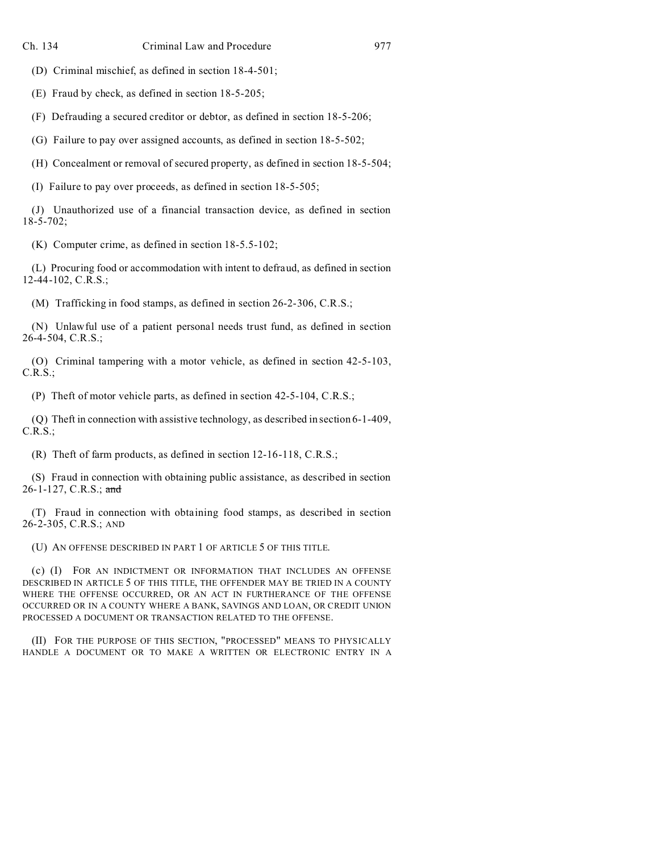(D) Criminal mischief, as defined in section 18-4-501;

(E) Fraud by check, as defined in section 18-5-205;

(F) Defrauding a secured creditor or debtor, as defined in section 18-5-206;

(G) Failure to pay over assigned accounts, as defined in section 18-5-502;

(H) Concealment or removal of secured property, as defined in section 18-5-504;

(I) Failure to pay over proceeds, as defined in section 18-5-505;

(J) Unauthorized use of a financial transaction device, as defined in section 18-5-702;

(K) Computer crime, as defined in section 18-5.5-102;

(L) Procuring food or accommodation with intent to defraud, as defined in section 12-44-102, C.R.S.;

(M) Trafficking in food stamps, as defined in section 26-2-306, C.R.S.;

(N) Unlawful use of a patient personal needs trust fund, as defined in section 26-4-504, C.R.S.;

(O) Criminal tampering with a motor vehicle, as defined in section 42-5-103, C.R.S.;

(P) Theft of motor vehicle parts, as defined in section 42-5-104, C.R.S.;

(Q) Theft in connection with assistive technology, as described in section 6-1-409, C.R.S.;

(R) Theft of farm products, as defined in section 12-16-118, C.R.S.;

(S) Fraud in connection with obtaining public assistance, as described in section 26-1-127, C.R.S.; and

(T) Fraud in connection with obtaining food stamps, as described in section 26-2-305, C.R.S.; AND

(U) AN OFFENSE DESCRIBED IN PART 1 OF ARTICLE 5 OF THIS TITLE.

(c) (I) FOR AN INDICTMENT OR INFORMATION THAT INCLUDES AN OFFENSE DESCRIBED IN ARTICLE 5 OF THIS TITLE, THE OFFENDER MAY BE TRIED IN A COUNTY WHERE THE OFFENSE OCCURRED, OR AN ACT IN FURTHERANCE OF THE OFFENSE OCCURRED OR IN A COUNTY WHERE A BANK, SAVINGS AND LOAN, OR CREDIT UNION PROCESSED A DOCUMENT OR TRANSACTION RELATED TO THE OFFENSE.

(II) FOR THE PURPOSE OF THIS SECTION, "PROCESSED" MEANS TO PHYSICALLY HANDLE A DOCUMENT OR TO MAKE A WRITTEN OR ELECTRONIC ENTRY IN A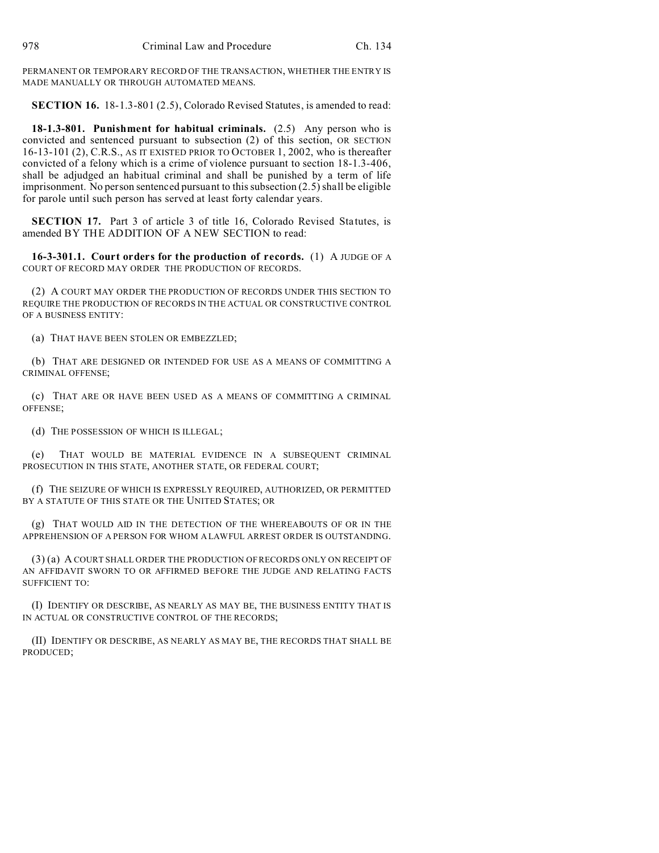PERMANENT OR TEMPORARY RECORD OF THE TRANSACTION, WHETHER THE ENTRY IS MADE MANUALLY OR THROUGH AUTOMATED MEANS.

**SECTION 16.** 18-1.3-801 (2.5), Colorado Revised Statutes, is amended to read:

**18-1.3-801. Punishment for habitual criminals.** (2.5) Any person who is convicted and sentenced pursuant to subsection (2) of this section, OR SECTION 16-13-101 (2), C.R.S., AS IT EXISTED PRIOR TO OCTOBER 1, 2002, who is thereafter convicted of a felony which is a crime of violence pursuant to section 18-1.3-406, shall be adjudged an habitual criminal and shall be punished by a term of life imprisonment. No person sentenced pursuant to this subsection (2.5) shall be eligible for parole until such person has served at least forty calendar years.

**SECTION 17.** Part 3 of article 3 of title 16, Colorado Revised Statutes, is amended BY THE ADDITION OF A NEW SECTION to read:

**16-3-301.1. Court orders for the production of records.** (1) A JUDGE OF A COURT OF RECORD MAY ORDER THE PRODUCTION OF RECORDS.

(2) A COURT MAY ORDER THE PRODUCTION OF RECORDS UNDER THIS SECTION TO REQUIRE THE PRODUCTION OF RECORDS IN THE ACTUAL OR CONSTRUCTIVE CONTROL OF A BUSINESS ENTITY:

(a) THAT HAVE BEEN STOLEN OR EMBEZZLED;

(b) THAT ARE DESIGNED OR INTENDED FOR USE AS A MEANS OF COMMITTING A CRIMINAL OFFENSE;

(c) THAT ARE OR HAVE BEEN USED AS A MEANS OF COMMITTING A CRIMINAL OFFENSE;

(d) THE POSSESSION OF WHICH IS ILLEGAL;

(e) THAT WOULD BE MATERIAL EVIDENCE IN A SUBSEQUENT CRIMINAL PROSECUTION IN THIS STATE, ANOTHER STATE, OR FEDERAL COURT;

(f) THE SEIZURE OF WHICH IS EXPRESSLY REQUIRED, AUTHORIZED, OR PERMITTED BY A STATUTE OF THIS STATE OR THE UNITED STATES; OR

(g) THAT WOULD AID IN THE DETECTION OF THE WHEREABOUTS OF OR IN THE APPREHENSION OF A PERSON FOR WHOM A LAWFUL ARREST ORDER IS OUTSTANDING.

(3) (a) A COURT SHALL ORDER THE PRODUCTION OF RECORDS ONLY ON RECEIPT OF AN AFFIDAVIT SWORN TO OR AFFIRMED BEFORE THE JUDGE AND RELATING FACTS SUFFICIENT TO:

(I) IDENTIFY OR DESCRIBE, AS NEARLY AS MAY BE, THE BUSINESS ENTITY THAT IS IN ACTUAL OR CONSTRUCTIVE CONTROL OF THE RECORDS;

(II) IDENTIFY OR DESCRIBE, AS NEARLY AS MAY BE, THE RECORDS THAT SHALL BE PRODUCED;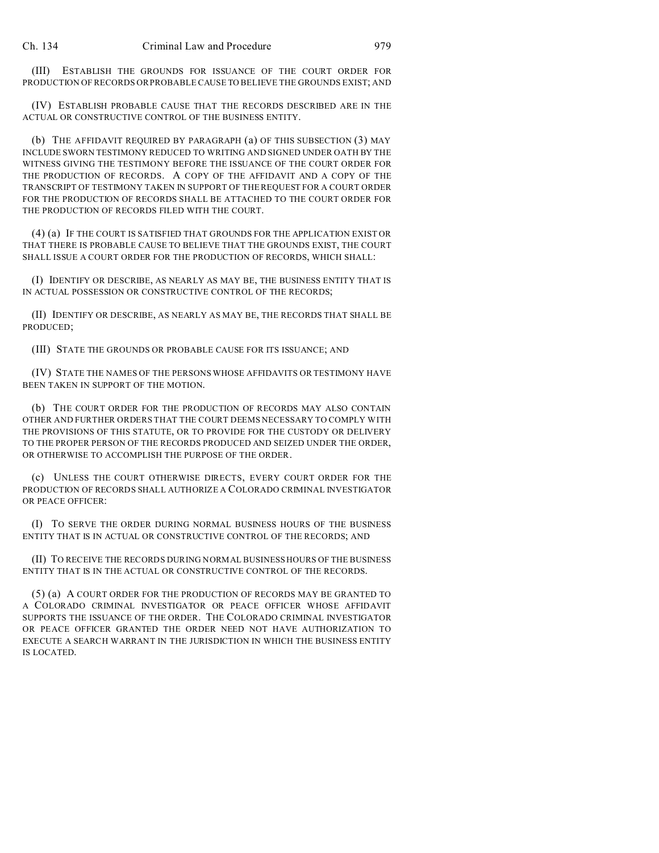(III) ESTABLISH THE GROUNDS FOR ISSUANCE OF THE COURT ORDER FOR PRODUCTION OF RECORDS OR PROBABLE CAUSE TO BELIEVE THE GROUNDS EXIST; AND

(IV) ESTABLISH PROBABLE CAUSE THAT THE RECORDS DESCRIBED ARE IN THE ACTUAL OR CONSTRUCTIVE CONTROL OF THE BUSINESS ENTITY.

(b) THE AFFIDAVIT REQUIRED BY PARAGRAPH (a) OF THIS SUBSECTION (3) MAY INCLUDE SWORN TESTIMONY REDUCED TO WRITING AND SIGNED UNDER OATH BY THE WITNESS GIVING THE TESTIMONY BEFORE THE ISSUANCE OF THE COURT ORDER FOR THE PRODUCTION OF RECORDS. A COPY OF THE AFFIDAVIT AND A COPY OF THE TRANSCRIPT OF TESTIMONY TAKEN IN SUPPORT OF THE REQUEST FOR A COURT ORDER FOR THE PRODUCTION OF RECORDS SHALL BE ATTACHED TO THE COURT ORDER FOR THE PRODUCTION OF RECORDS FILED WITH THE COURT.

(4) (a) IF THE COURT IS SATISFIED THAT GROUNDS FOR THE APPLICATION EXIST OR THAT THERE IS PROBABLE CAUSE TO BELIEVE THAT THE GROUNDS EXIST, THE COURT SHALL ISSUE A COURT ORDER FOR THE PRODUCTION OF RECORDS, WHICH SHALL:

(I) IDENTIFY OR DESCRIBE, AS NEARLY AS MAY BE, THE BUSINESS ENTITY THAT IS IN ACTUAL POSSESSION OR CONSTRUCTIVE CONTROL OF THE RECORDS;

(II) IDENTIFY OR DESCRIBE, AS NEARLY AS MAY BE, THE RECORDS THAT SHALL BE PRODUCED;

(III) STATE THE GROUNDS OR PROBABLE CAUSE FOR ITS ISSUANCE; AND

(IV) STATE THE NAMES OF THE PERSONS WHOSE AFFIDAVITS OR TESTIMONY HAVE BEEN TAKEN IN SUPPORT OF THE MOTION.

(b) THE COURT ORDER FOR THE PRODUCTION OF RECORDS MAY ALSO CONTAIN OTHER AND FURTHER ORDERS THAT THE COURT DEEMS NECESSARY TO COMPLY WITH THE PROVISIONS OF THIS STATUTE, OR TO PROVIDE FOR THE CUSTODY OR DELIVERY TO THE PROPER PERSON OF THE RECORDS PRODUCED AND SEIZED UNDER THE ORDER, OR OTHERWISE TO ACCOMPLISH THE PURPOSE OF THE ORDER.

(c) UNLESS THE COURT OTHERWISE DIRECTS, EVERY COURT ORDER FOR THE PRODUCTION OF RECORDS SHALL AUTHORIZE A COLORADO CRIMINAL INVESTIGATOR OR PEACE OFFICER:

(I) TO SERVE THE ORDER DURING NORMAL BUSINESS HOURS OF THE BUSINESS ENTITY THAT IS IN ACTUAL OR CONSTRUCTIVE CONTROL OF THE RECORDS; AND

(II) TO RECEIVE THE RECORDS DURING NORMAL BUSINESS HOURS OF THE BUSINESS ENTITY THAT IS IN THE ACTUAL OR CONSTRUCTIVE CONTROL OF THE RECORDS.

(5) (a) A COURT ORDER FOR THE PRODUCTION OF RECORDS MAY BE GRANTED TO A COLORADO CRIMINAL INVESTIGATOR OR PEACE OFFICER WHOSE AFFIDAVIT SUPPORTS THE ISSUANCE OF THE ORDER. THE COLORADO CRIMINAL INVESTIGATOR OR PEACE OFFICER GRANTED THE ORDER NEED NOT HAVE AUTHORIZATION TO EXECUTE A SEARCH WARRANT IN THE JURISDICTION IN WHICH THE BUSINESS ENTITY IS LOCATED.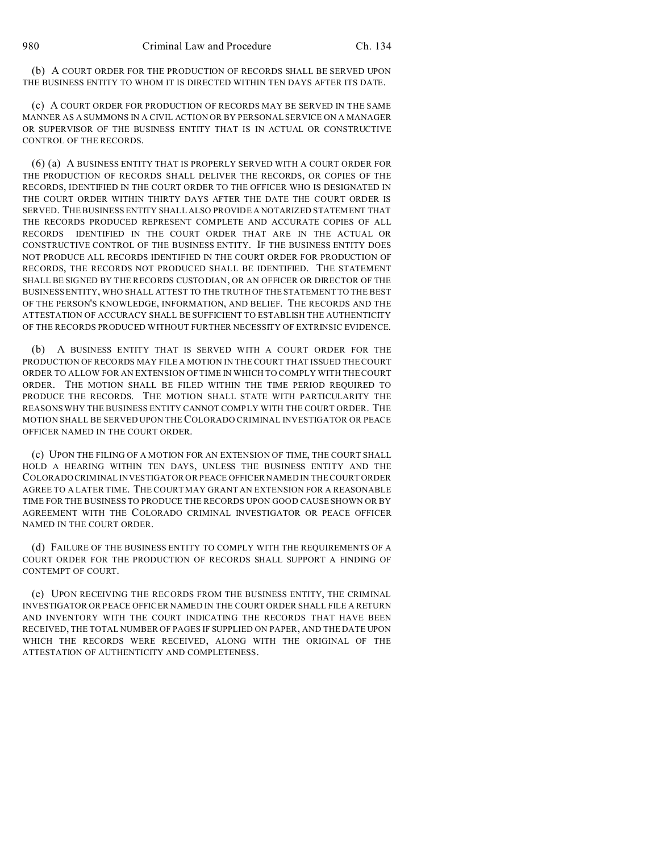(b) A COURT ORDER FOR THE PRODUCTION OF RECORDS SHALL BE SERVED UPON THE BUSINESS ENTITY TO WHOM IT IS DIRECTED WITHIN TEN DAYS AFTER ITS DATE.

(c) A COURT ORDER FOR PRODUCTION OF RECORDS MAY BE SERVED IN THE SAME MANNER AS A SUMMONS IN A CIVIL ACTION OR BY PERSONAL SERVICE ON A MANAGER OR SUPERVISOR OF THE BUSINESS ENTITY THAT IS IN ACTUAL OR CONSTRUCTIVE CONTROL OF THE RECORDS.

(6) (a) A BUSINESS ENTITY THAT IS PROPERLY SERVED WITH A COURT ORDER FOR THE PRODUCTION OF RECORDS SHALL DELIVER THE RECORDS, OR COPIES OF THE RECORDS, IDENTIFIED IN THE COURT ORDER TO THE OFFICER WHO IS DESIGNATED IN THE COURT ORDER WITHIN THIRTY DAYS AFTER THE DATE THE COURT ORDER IS SERVED. THE BUSINESS ENTITY SHALL ALSO PROVIDE A NOTARIZED STATEMENT THAT THE RECORDS PRODUCED REPRESENT COMPLETE AND ACCURATE COPIES OF ALL RECORDS IDENTIFIED IN THE COURT ORDER THAT ARE IN THE ACTUAL OR CONSTRUCTIVE CONTROL OF THE BUSINESS ENTITY. IF THE BUSINESS ENTITY DOES NOT PRODUCE ALL RECORDS IDENTIFIED IN THE COURT ORDER FOR PRODUCTION OF RECORDS, THE RECORDS NOT PRODUCED SHALL BE IDENTIFIED. THE STATEMENT SHALL BE SIGNED BY THE RECORDS CUSTODIAN, OR AN OFFICER OR DIRECTOR OF THE BUSINESS ENTITY, WHO SHALL ATTEST TO THE TRUTH OF THE STATEMENT TO THE BEST OF THE PERSON'S KNOWLEDGE, INFORMATION, AND BELIEF. THE RECORDS AND THE ATTESTATION OF ACCURACY SHALL BE SUFFICIENT TO ESTABLISH THE AUTHENTICITY OF THE RECORDS PRODUCED WITHOUT FURTHER NECESSITY OF EXTRINSIC EVIDENCE.

(b) A BUSINESS ENTITY THAT IS SERVED WITH A COURT ORDER FOR THE PRODUCTION OF RECORDS MAY FILE A MOTION IN THE COURT THAT ISSUED THE COURT ORDER TO ALLOW FOR AN EXTENSION OF TIME IN WHICH TO COMPLY WITH THE COURT ORDER. THE MOTION SHALL BE FILED WITHIN THE TIME PERIOD REQUIRED TO PRODUCE THE RECORDS. THE MOTION SHALL STATE WITH PARTICULARITY THE REASONS WHY THE BUSINESS ENTITY CANNOT COMPLY WITH THE COURT ORDER. THE MOTION SHALL BE SERVED UPON THE COLORADO CRIMINAL INVESTIGATOR OR PEACE OFFICER NAMED IN THE COURT ORDER.

(c) UPON THE FILING OF A MOTION FOR AN EXTENSION OF TIME, THE COURT SHALL HOLD A HEARING WITHIN TEN DAYS, UNLESS THE BUSINESS ENTITY AND THE COLORADO CRIMINAL INVESTIGATOR OR PEACE OFFICER NAMED IN THE COURT ORDER AGREE TO A LATER TIME. THE COURT MAY GRANT AN EXTENSION FOR A REASONABLE TIME FOR THE BUSINESS TO PRODUCE THE RECORDS UPON GOOD CAUSE SHOWN OR BY AGREEMENT WITH THE COLORADO CRIMINAL INVESTIGATOR OR PEACE OFFICER NAMED IN THE COURT ORDER.

(d) FAILURE OF THE BUSINESS ENTITY TO COMPLY WITH THE REQUIREMENTS OF A COURT ORDER FOR THE PRODUCTION OF RECORDS SHALL SUPPORT A FINDING OF CONTEMPT OF COURT.

(e) UPON RECEIVING THE RECORDS FROM THE BUSINESS ENTITY, THE CRIMINAL INVESTIGATOR OR PEACE OFFICER NAMED IN THE COURT ORDER SHALL FILE A RETURN AND INVENTORY WITH THE COURT INDICATING THE RECORDS THAT HAVE BEEN RECEIVED, THE TOTAL NUMBER OF PAGES IF SUPPLIED ON PAPER, AND THE DATE UPON WHICH THE RECORDS WERE RECEIVED, ALONG WITH THE ORIGINAL OF THE ATTESTATION OF AUTHENTICITY AND COMPLETENESS.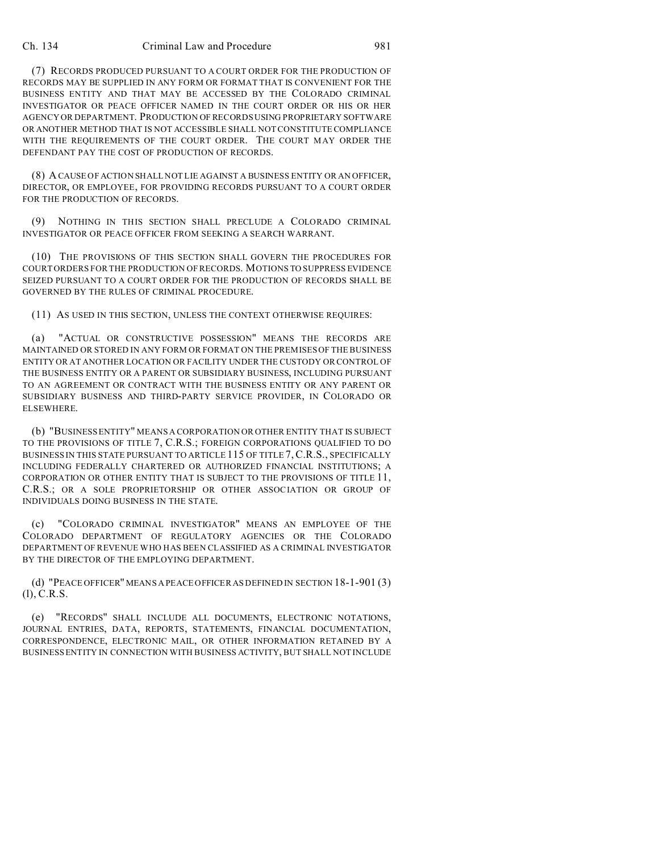## Ch. 134 Criminal Law and Procedure 981

(7) RECORDS PRODUCED PURSUANT TO A COURT ORDER FOR THE PRODUCTION OF RECORDS MAY BE SUPPLIED IN ANY FORM OR FORMAT THAT IS CONVENIENT FOR THE BUSINESS ENTITY AND THAT MAY BE ACCESSED BY THE COLORADO CRIMINAL INVESTIGATOR OR PEACE OFFICER NAMED IN THE COURT ORDER OR HIS OR HER AGENCY OR DEPARTMENT. PRODUCTION OF RECORDS USING PROPRIETARY SOFTWARE OR ANOTHER METHOD THAT IS NOT ACCESSIBLE SHALL NOT CONSTITUTE COMPLIANCE WITH THE REQUIREMENTS OF THE COURT ORDER. THE COURT MAY ORDER THE DEFENDANT PAY THE COST OF PRODUCTION OF RECORDS.

(8) A CAUSE OF ACTION SHALL NOT LIE AGAINST A BUSINESS ENTITY OR AN OFFICER, DIRECTOR, OR EMPLOYEE, FOR PROVIDING RECORDS PURSUANT TO A COURT ORDER FOR THE PRODUCTION OF RECORDS.

(9) NOTHING IN THIS SECTION SHALL PRECLUDE A COLORADO CRIMINAL INVESTIGATOR OR PEACE OFFICER FROM SEEKING A SEARCH WARRANT.

(10) THE PROVISIONS OF THIS SECTION SHALL GOVERN THE PROCEDURES FOR COURT ORDERS FOR THE PRODUCTION OF RECORDS. MOTIONS TO SUPPRESS EVIDENCE SEIZED PURSUANT TO A COURT ORDER FOR THE PRODUCTION OF RECORDS SHALL BE GOVERNED BY THE RULES OF CRIMINAL PROCEDURE.

## (11) AS USED IN THIS SECTION, UNLESS THE CONTEXT OTHERWISE REQUIRES:

(a) "ACTUAL OR CONSTRUCTIVE POSSESSION" MEANS THE RECORDS ARE MAINTAINED OR STORED IN ANY FORM OR FORMAT ON THE PREMISES OF THE BUSINESS ENTITY OR AT ANOTHER LOCATION OR FACILITY UNDER THE CUSTODY OR CONTROL OF THE BUSINESS ENTITY OR A PARENT OR SUBSIDIARY BUSINESS, INCLUDING PURSUANT TO AN AGREEMENT OR CONTRACT WITH THE BUSINESS ENTITY OR ANY PARENT OR SUBSIDIARY BUSINESS AND THIRD-PARTY SERVICE PROVIDER, IN COLORADO OR ELSEWHERE.

(b) "BUSINESS ENTITY" MEANS A CORPORATION OR OTHER ENTITY THAT IS SUBJECT TO THE PROVISIONS OF TITLE 7, C.R.S.; FOREIGN CORPORATIONS QUALIFIED TO DO BUSINESS IN THIS STATE PURSUANT TO ARTICLE 115 OF TITLE 7,C.R.S., SPECIFICALLY INCLUDING FEDERALLY CHARTERED OR AUTHORIZED FINANCIAL INSTITUTIONS; A CORPORATION OR OTHER ENTITY THAT IS SUBJECT TO THE PROVISIONS OF TITLE 11, C.R.S.; OR A SOLE PROPRIETORSHIP OR OTHER ASSOCIATION OR GROUP OF INDIVIDUALS DOING BUSINESS IN THE STATE.

(c) "COLORADO CRIMINAL INVESTIGATOR" MEANS AN EMPLOYEE OF THE COLORADO DEPARTMENT OF REGULATORY AGENCIES OR THE COLORADO DEPARTMENT OF REVENUE WHO HAS BEEN CLASSIFIED AS A CRIMINAL INVESTIGATOR BY THE DIRECTOR OF THE EMPLOYING DEPARTMENT.

(d) "PEACE OFFICER" MEANS A PEACE OFFICER AS DEFINED IN SECTION 18-1-901 (3) (l), C.R.S.

(e) "RECORDS" SHALL INCLUDE ALL DOCUMENTS, ELECTRONIC NOTATIONS, JOURNAL ENTRIES, DATA, REPORTS, STATEMENTS, FINANCIAL DOCUMENTATION, CORRESPONDENCE, ELECTRONIC MAIL, OR OTHER INFORMATION RETAINED BY A BUSINESS ENTITY IN CONNECTION WITH BUSINESS ACTIVITY, BUT SHALL NOT INCLUDE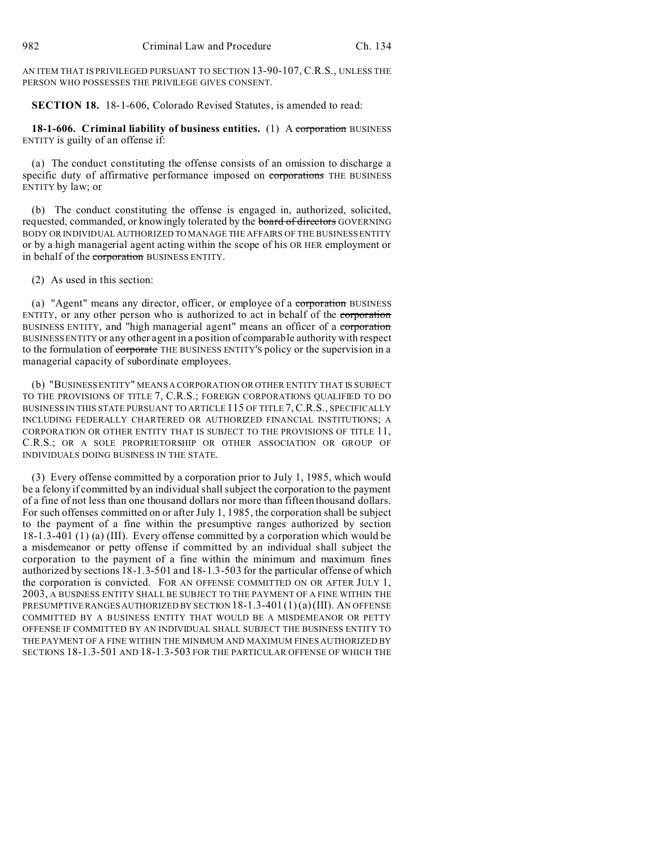AN ITEM THAT IS PRIVILEGED PURSUANT TO SECTION 13-90-107, C.R.S., UNLESS THE PERSON WHO POSSESSES THE PRIVILEGE GIVES CONSENT.

**SECTION 18.** 18-1-606, Colorado Revised Statutes, is amended to read:

**18-1-606. Criminal liability of business entities.** (1) A corporation BUSINESS ENTITY is guilty of an offense if:

(a) The conduct constituting the offense consists of an omission to discharge a specific duty of affirmative performance imposed on corporations THE BUSINESS ENTITY by law; or

(b) The conduct constituting the offense is engaged in, authorized, solicited, requested, commanded, or knowingly tolerated by the **board of directors** GOVERNING BODY OR INDIVIDUAL AUTHORIZED TO MANAGE THE AFFAIRS OF THE BUSINESS ENTITY or by a high managerial agent acting within the scope of his OR HER employment or in behalf of the corporation BUSINESS ENTITY.

(2) As used in this section:

(a) "Agent" means any director, officer, or employee of a corporation BUSINESS ENTITY, or any other person who is authorized to act in behalf of the corporation BUSINESS ENTITY, and "high managerial agent" means an officer of a corporation BUSINESS ENTITY or any other agent in a position of comparable authority with respect to the formulation of **corporate** THE BUSINESS ENTITY'S policy or the supervision in a managerial capacity of subordinate employees.

(b) "BUSINESS ENTITY" MEANS A CORPORATION OR OTHER ENTITY THAT IS SUBJECT TO THE PROVISIONS OF TITLE 7, C.R.S.; FOREIGN CORPORATIONS QUALIFIED TO DO BUSINESS IN THIS STATE PURSUANT TO ARTICLE 115 OF TITLE 7,C.R.S., SPECIFICALLY INCLUDING FEDERALLY CHARTERED OR AUTHORIZED FINANCIAL INSTITUTIONS; A CORPORATION OR OTHER ENTITY THAT IS SUBJECT TO THE PROVISIONS OF TITLE 11, C.R.S.; OR A SOLE PROPRIETORSHIP OR OTHER ASSOCIATION OR GROUP OF INDIVIDUALS DOING BUSINESS IN THE STATE.

(3) Every offense committed by a corporation prior to July 1, 1985, which would be a felony if committed by an individual shall subject the corporation to the payment of a fine of not less than one thousand dollars nor more than fifteen thousand dollars. For such offenses committed on or after July 1, 1985, the corporation shall be subject to the payment of a fine within the presumptive ranges authorized by section 18-1.3-401 (1) (a) (III). Every offense committed by a corporation which would be a misdemeanor or petty offense if committed by an individual shall subject the corporation to the payment of a fine within the minimum and maximum fines authorized by sections 18-1.3-501 and 18-1.3-503 for the particular offense of which the corporation is convicted. FOR AN OFFENSE COMMITTED ON OR AFTER JULY 1, 2003, A BUSINESS ENTITY SHALL BE SUBJECT TO THE PAYMENT OF A FINE WITHIN THE PRESUMPTIVE RANGES AUTHORIZED BY SECTION 18-1.3-401 (1)(a)(III). AN OFFENSE COMMITTED BY A BUSINESS ENTITY THAT WOULD BE A MISDEMEANOR OR PETTY OFFENSE IF COMMITTED BY AN INDIVIDUAL SHALL SUBJECT THE BUSINESS ENTITY TO THE PAYMENT OF A FINE WITHIN THE MINIMUM AND MAXIMUM FINES AUTHORIZED BY SECTIONS 18-1.3-501 AND 18-1.3-503 FOR THE PARTICULAR OFFENSE OF WHICH THE